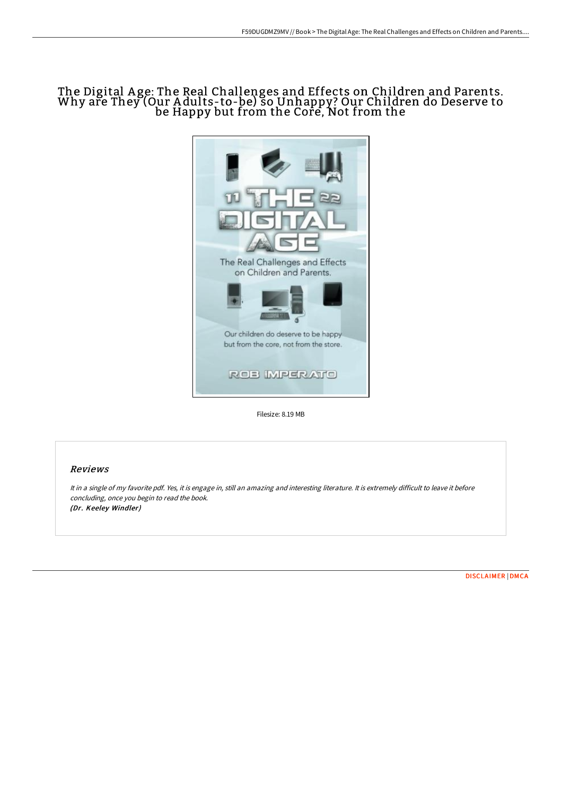## The Digital Age: The Real Challenges and Effects on Children and Parents.<br>Why are They (Our Adults-to-be) so Unhappy? Our Children do Deserve to be Happy but from the Core, Not from the



Filesize: 8.19 MB

## Reviews

It in <sup>a</sup> single of my favorite pdf. Yes, it is engage in, still an amazing and interesting literature. It is extremely difficult to leave it before concluding, once you begin to read the book. (Dr. Keeley Windler)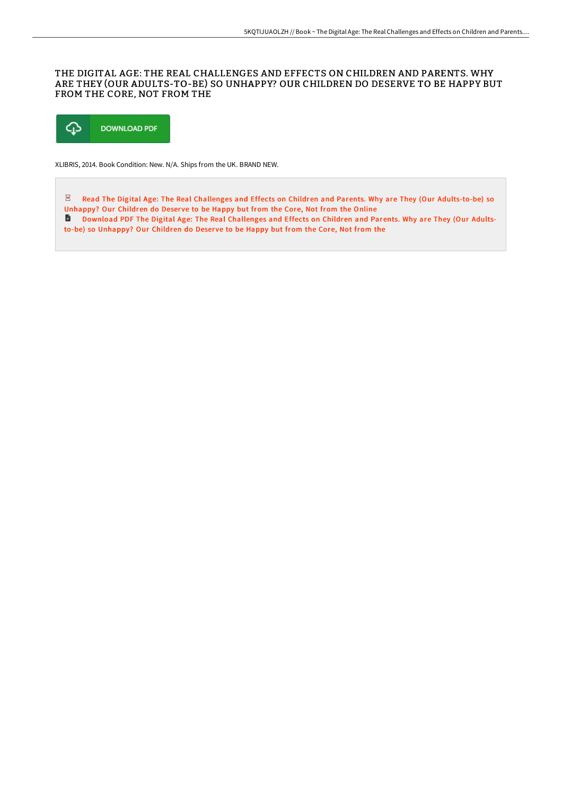## THE DIGITAL AGE: THE REAL CHALLENGES AND EFFECTS ON CHILDREN AND PARENTS. WHY ARE THEY (OUR ADULTS-TO-BE) SO UNHAPPY? OUR CHILDREN DO DESERVE TO BE HAPPY BUT FROM THE CORE, NOT FROM THE



XLIBRIS, 2014. Book Condition: New. N/A. Ships from the UK. BRAND NEW.

 $\overline{\mathbf{P}\mathbf{D}^2}$ Read The Digital Age: The Real Challenges and Effects on Children and Parents. Why are They (Our [Adults-to-be\)](http://techno-pub.tech/the-digital-age-the-real-challenges-and-effects-.html) so Unhappy? Our Children do Deserve to be Happy but from the Core, Not from the Online

Download PDF The Digital Age: The Real [Challenges](http://techno-pub.tech/the-digital-age-the-real-challenges-and-effects-.html) and Effects on Children and Parents. Why are They (Our Adultsto-be) so Unhappy? Our Children do Deser ve to be Happy but from the Core, Not from the